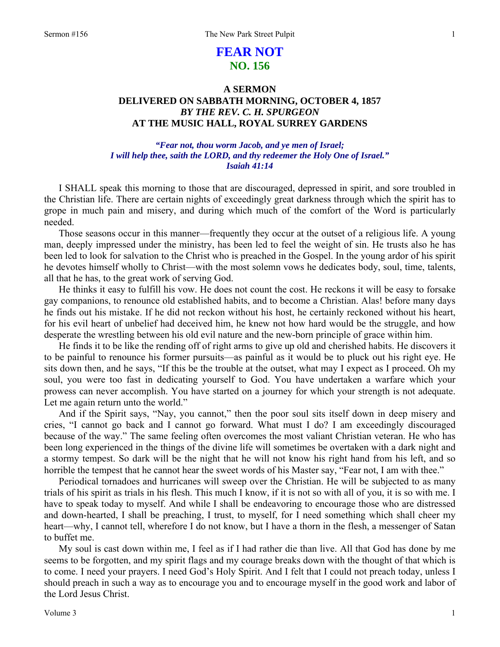# **FEAR NOT NO. 156**

## **A SERMON DELIVERED ON SABBATH MORNING, OCTOBER 4, 1857**  *BY THE REV. C. H. SPURGEON*  **AT THE MUSIC HALL, ROYAL SURREY GARDENS**

### *"Fear not, thou worm Jacob, and ye men of Israel; I will help thee, saith the LORD, and thy redeemer the Holy One of Israel." Isaiah 41:14*

I SHALL speak this morning to those that are discouraged, depressed in spirit, and sore troubled in the Christian life. There are certain nights of exceedingly great darkness through which the spirit has to grope in much pain and misery, and during which much of the comfort of the Word is particularly needed.

Those seasons occur in this manner—frequently they occur at the outset of a religious life. A young man, deeply impressed under the ministry, has been led to feel the weight of sin. He trusts also he has been led to look for salvation to the Christ who is preached in the Gospel. In the young ardor of his spirit he devotes himself wholly to Christ—with the most solemn vows he dedicates body, soul, time, talents, all that he has, to the great work of serving God.

He thinks it easy to fulfill his vow. He does not count the cost. He reckons it will be easy to forsake gay companions, to renounce old established habits, and to become a Christian. Alas! before many days he finds out his mistake. If he did not reckon without his host, he certainly reckoned without his heart, for his evil heart of unbelief had deceived him, he knew not how hard would be the struggle, and how desperate the wrestling between his old evil nature and the new-born principle of grace within him.

He finds it to be like the rending off of right arms to give up old and cherished habits. He discovers it to be painful to renounce his former pursuits—as painful as it would be to pluck out his right eye. He sits down then, and he says, "If this be the trouble at the outset, what may I expect as I proceed. Oh my soul, you were too fast in dedicating yourself to God. You have undertaken a warfare which your prowess can never accomplish. You have started on a journey for which your strength is not adequate. Let me again return unto the world."

And if the Spirit says, "Nay, you cannot," then the poor soul sits itself down in deep misery and cries, "I cannot go back and I cannot go forward. What must I do? I am exceedingly discouraged because of the way." The same feeling often overcomes the most valiant Christian veteran. He who has been long experienced in the things of the divine life will sometimes be overtaken with a dark night and a stormy tempest. So dark will be the night that he will not know his right hand from his left, and so horrible the tempest that he cannot hear the sweet words of his Master say, "Fear not, I am with thee."

Periodical tornadoes and hurricanes will sweep over the Christian. He will be subjected to as many trials of his spirit as trials in his flesh. This much I know, if it is not so with all of you, it is so with me. I have to speak today to myself. And while I shall be endeavoring to encourage those who are distressed and down-hearted, I shall be preaching, I trust, to myself, for I need something which shall cheer my heart—why, I cannot tell, wherefore I do not know, but I have a thorn in the flesh, a messenger of Satan to buffet me.

My soul is cast down within me, I feel as if I had rather die than live. All that God has done by me seems to be forgotten, and my spirit flags and my courage breaks down with the thought of that which is to come. I need your prayers. I need God's Holy Spirit. And I felt that I could not preach today, unless I should preach in such a way as to encourage you and to encourage myself in the good work and labor of the Lord Jesus Christ.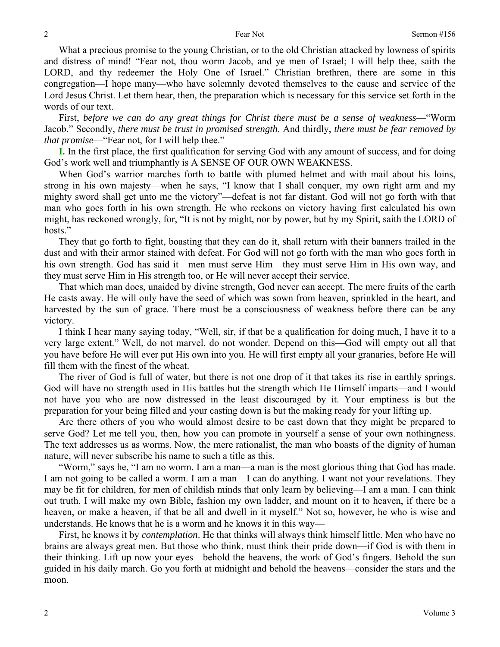What a precious promise to the young Christian, or to the old Christian attacked by lowness of spirits and distress of mind! "Fear not, thou worm Jacob, and ye men of Israel; I will help thee, saith the LORD, and thy redeemer the Holy One of Israel." Christian brethren, there are some in this congregation—I hope many—who have solemnly devoted themselves to the cause and service of the Lord Jesus Christ. Let them hear, then, the preparation which is necessary for this service set forth in the words of our text.

First, *before we can do any great things for Christ there must be a sense of weakness*—"Worm Jacob." Secondly, *there must be trust in promised strength*. And thirdly, *there must be fear removed by that promise*—"Fear not, for I will help thee."

**I.** In the first place, the first qualification for serving God with any amount of success, and for doing God's work well and triumphantly is A SENSE OF OUR OWN WEAKNESS.

When God's warrior marches forth to battle with plumed helmet and with mail about his loins, strong in his own majesty—when he says, "I know that I shall conquer, my own right arm and my mighty sword shall get unto me the victory"—defeat is not far distant. God will not go forth with that man who goes forth in his own strength. He who reckons on victory having first calculated his own might, has reckoned wrongly, for, "It is not by might, nor by power, but by my Spirit, saith the LORD of hosts."

They that go forth to fight, boasting that they can do it, shall return with their banners trailed in the dust and with their armor stained with defeat. For God will not go forth with the man who goes forth in his own strength. God has said it—men must serve Him—they must serve Him in His own way, and they must serve Him in His strength too, or He will never accept their service.

That which man does, unaided by divine strength, God never can accept. The mere fruits of the earth He casts away. He will only have the seed of which was sown from heaven, sprinkled in the heart, and harvested by the sun of grace. There must be a consciousness of weakness before there can be any victory.

I think I hear many saying today, "Well, sir, if that be a qualification for doing much, I have it to a very large extent." Well, do not marvel, do not wonder. Depend on this—God will empty out all that you have before He will ever put His own into you. He will first empty all your granaries, before He will fill them with the finest of the wheat.

The river of God is full of water, but there is not one drop of it that takes its rise in earthly springs. God will have no strength used in His battles but the strength which He Himself imparts—and I would not have you who are now distressed in the least discouraged by it. Your emptiness is but the preparation for your being filled and your casting down is but the making ready for your lifting up.

Are there others of you who would almost desire to be cast down that they might be prepared to serve God? Let me tell you, then, how you can promote in yourself a sense of your own nothingness. The text addresses us as worms. Now, the mere rationalist, the man who boasts of the dignity of human nature, will never subscribe his name to such a title as this.

"Worm," says he, "I am no worm. I am a man—a man is the most glorious thing that God has made. I am not going to be called a worm. I am a man—I can do anything. I want not your revelations. They may be fit for children, for men of childish minds that only learn by believing—I am a man. I can think out truth. I will make my own Bible, fashion my own ladder, and mount on it to heaven, if there be a heaven, or make a heaven, if that be all and dwell in it myself." Not so, however, he who is wise and understands. He knows that he is a worm and he knows it in this way—

First, he knows it by *contemplation*. He that thinks will always think himself little. Men who have no brains are always great men. But those who think, must think their pride down—if God is with them in their thinking. Lift up now your eyes—behold the heavens, the work of God's fingers. Behold the sun guided in his daily march. Go you forth at midnight and behold the heavens—consider the stars and the moon.

2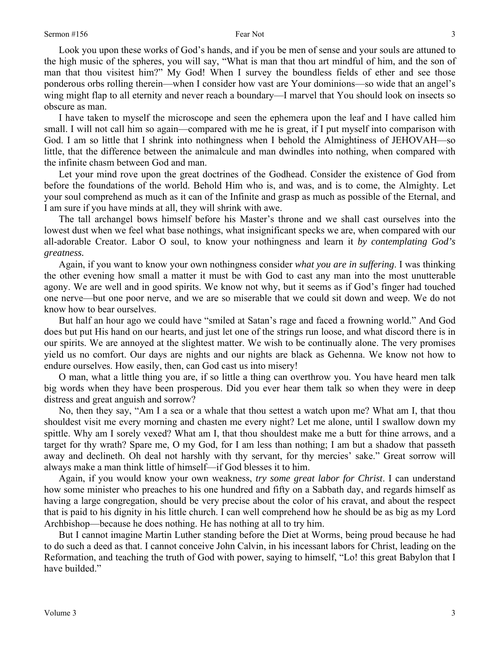Look you upon these works of God's hands, and if you be men of sense and your souls are attuned to the high music of the spheres, you will say, "What is man that thou art mindful of him, and the son of man that thou visitest him?" My God! When I survey the boundless fields of ether and see those ponderous orbs rolling therein—when I consider how vast are Your dominions—so wide that an angel's wing might flap to all eternity and never reach a boundary—I marvel that You should look on insects so obscure as man.

I have taken to myself the microscope and seen the ephemera upon the leaf and I have called him small. I will not call him so again—compared with me he is great, if I put myself into comparison with God. I am so little that I shrink into nothingness when I behold the Almightiness of JEHOVAH—so little, that the difference between the animalcule and man dwindles into nothing, when compared with the infinite chasm between God and man.

Let your mind rove upon the great doctrines of the Godhead. Consider the existence of God from before the foundations of the world. Behold Him who is, and was, and is to come, the Almighty. Let your soul comprehend as much as it can of the Infinite and grasp as much as possible of the Eternal, and I am sure if you have minds at all, they will shrink with awe.

The tall archangel bows himself before his Master's throne and we shall cast ourselves into the lowest dust when we feel what base nothings, what insignificant specks we are, when compared with our all-adorable Creator. Labor O soul, to know your nothingness and learn it *by contemplating God's greatness.* 

Again, if you want to know your own nothingness consider *what you are in suffering*. I was thinking the other evening how small a matter it must be with God to cast any man into the most unutterable agony. We are well and in good spirits. We know not why, but it seems as if God's finger had touched one nerve—but one poor nerve, and we are so miserable that we could sit down and weep. We do not know how to bear ourselves.

But half an hour ago we could have "smiled at Satan's rage and faced a frowning world." And God does but put His hand on our hearts, and just let one of the strings run loose, and what discord there is in our spirits. We are annoyed at the slightest matter. We wish to be continually alone. The very promises yield us no comfort. Our days are nights and our nights are black as Gehenna. We know not how to endure ourselves. How easily, then, can God cast us into misery!

O man, what a little thing you are, if so little a thing can overthrow you. You have heard men talk big words when they have been prosperous. Did you ever hear them talk so when they were in deep distress and great anguish and sorrow?

No, then they say, "Am I a sea or a whale that thou settest a watch upon me? What am I, that thou shouldest visit me every morning and chasten me every night? Let me alone, until I swallow down my spittle. Why am I sorely vexed? What am I, that thou shouldest make me a butt for thine arrows, and a target for thy wrath? Spare me, O my God, for I am less than nothing; I am but a shadow that passeth away and declineth. Oh deal not harshly with thy servant, for thy mercies' sake." Great sorrow will always make a man think little of himself—if God blesses it to him.

Again, if you would know your own weakness, *try some great labor for Christ*. I can understand how some minister who preaches to his one hundred and fifty on a Sabbath day, and regards himself as having a large congregation, should be very precise about the color of his cravat, and about the respect that is paid to his dignity in his little church. I can well comprehend how he should be as big as my Lord Archbishop—because he does nothing. He has nothing at all to try him.

But I cannot imagine Martin Luther standing before the Diet at Worms, being proud because he had to do such a deed as that. I cannot conceive John Calvin, in his incessant labors for Christ, leading on the Reformation, and teaching the truth of God with power, saying to himself, "Lo! this great Babylon that I have builded."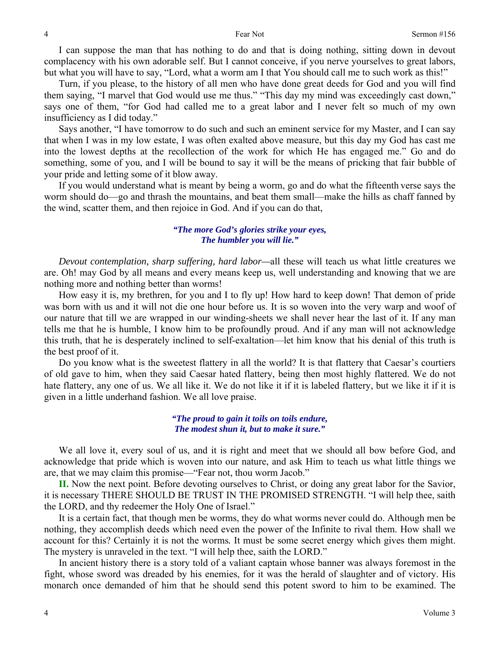I can suppose the man that has nothing to do and that is doing nothing, sitting down in devout complacency with his own adorable self. But I cannot conceive, if you nerve yourselves to great labors, but what you will have to say, "Lord, what a worm am I that You should call me to such work as this!"

Turn, if you please, to the history of all men who have done great deeds for God and you will find them saying, "I marvel that God would use me thus." "This day my mind was exceedingly cast down," says one of them, "for God had called me to a great labor and I never felt so much of my own insufficiency as I did today."

Says another, "I have tomorrow to do such and such an eminent service for my Master, and I can say that when I was in my low estate, I was often exalted above measure, but this day my God has cast me into the lowest depths at the recollection of the work for which He has engaged me." Go and do something, some of you, and I will be bound to say it will be the means of pricking that fair bubble of your pride and letting some of it blow away.

If you would understand what is meant by being a worm, go and do what the fifteenth verse says the worm should do—go and thrash the mountains, and beat them small—make the hills as chaff fanned by the wind, scatter them, and then rejoice in God. And if you can do that,

### *"The more God's glories strike your eyes, The humbler you will lie."*

*Devout contemplation, sharp suffering, hard labor—*all these will teach us what little creatures we are. Oh! may God by all means and every means keep us, well understanding and knowing that we are nothing more and nothing better than worms!

How easy it is, my brethren, for you and I to fly up! How hard to keep down! That demon of pride was born with us and it will not die one hour before us. It is so woven into the very warp and woof of our nature that till we are wrapped in our winding-sheets we shall never hear the last of it. If any man tells me that he is humble, I know him to be profoundly proud. And if any man will not acknowledge this truth, that he is desperately inclined to self-exaltation—let him know that his denial of this truth is the best proof of it.

Do you know what is the sweetest flattery in all the world? It is that flattery that Caesar's courtiers of old gave to him, when they said Caesar hated flattery, being then most highly flattered. We do not hate flattery, any one of us. We all like it. We do not like it if it is labeled flattery, but we like it if it is given in a little underhand fashion. We all love praise.

### *"The proud to gain it toils on toils endure, The modest shun it, but to make it sure."*

We all love it, every soul of us, and it is right and meet that we should all bow before God, and acknowledge that pride which is woven into our nature, and ask Him to teach us what little things we are, that we may claim this promise—"Fear not, thou worm Jacob."

**II.** Now the next point. Before devoting ourselves to Christ, or doing any great labor for the Savior, it is necessary THERE SHOULD BE TRUST IN THE PROMISED STRENGTH. "I will help thee, saith the LORD, and thy redeemer the Holy One of Israel."

It is a certain fact, that though men be worms, they do what worms never could do. Although men be nothing, they accomplish deeds which need even the power of the Infinite to rival them. How shall we account for this? Certainly it is not the worms*.* It must be some secret energy which gives them might. The mystery is unraveled in the text. "I will help thee, saith the LORD."

In ancient history there is a story told of a valiant captain whose banner was always foremost in the fight, whose sword was dreaded by his enemies, for it was the herald of slaughter and of victory. His monarch once demanded of him that he should send this potent sword to him to be examined. The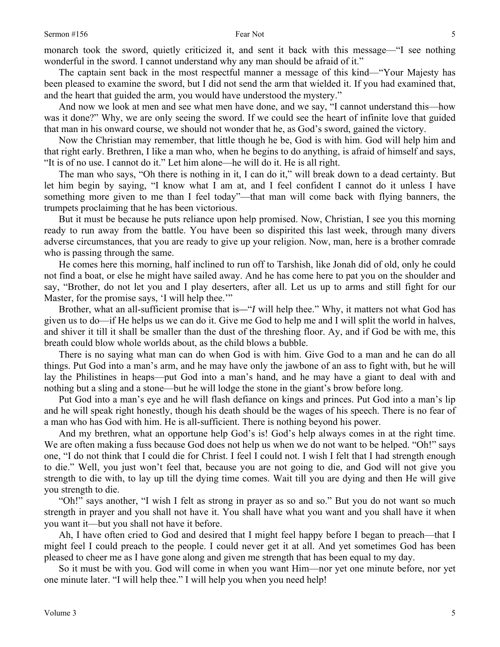monarch took the sword, quietly criticized it, and sent it back with this message—"I see nothing wonderful in the sword. I cannot understand why any man should be afraid of it."

The captain sent back in the most respectful manner a message of this kind—"Your Majesty has been pleased to examine the sword, but I did not send the arm that wielded it. If you had examined that, and the heart that guided the arm, you would have understood the mystery."

And now we look at men and see what men have done, and we say, "I cannot understand this—how was it done?" Why, we are only seeing the sword. If we could see the heart of infinite love that guided that man in his onward course, we should not wonder that he, as God's sword, gained the victory.

Now the Christian may remember, that little though he be, God is with him. God will help him and that right early. Brethren, I like a man who, when he begins to do anything, is afraid of himself and says, "It is of no use. I cannot do it." Let him alone—he will do it. He is all right.

The man who says, "Oh there is nothing in it, I can do it," will break down to a dead certainty. But let him begin by saying, "I know what I am at, and I feel confident I cannot do it unless I have something more given to me than I feel today"—that man will come back with flying banners, the trumpets proclaiming that he has been victorious.

But it must be because he puts reliance upon help promised. Now, Christian, I see you this morning ready to run away from the battle. You have been so dispirited this last week, through many divers adverse circumstances, that you are ready to give up your religion. Now, man, here is a brother comrade who is passing through the same.

He comes here this morning, half inclined to run off to Tarshish, like Jonah did of old, only he could not find a boat, or else he might have sailed away. And he has come here to pat you on the shoulder and say, "Brother, do not let you and I play deserters, after all. Let us up to arms and still fight for our Master, for the promise says, 'I will help thee.'"

Brother, what an all-sufficient promise that is*—*"*I* will help thee." Why, it matters not what God has given us to do—if He helps us we can do it. Give me God to help me and I will split the world in halves, and shiver it till it shall be smaller than the dust of the threshing floor. Ay, and if God be with me, this breath could blow whole worlds about, as the child blows a bubble.

There is no saying what man can do when God is with him. Give God to a man and he can do all things. Put God into a man's arm, and he may have only the jawbone of an ass to fight with, but he will lay the Philistines in heaps—put God into a man's hand, and he may have a giant to deal with and nothing but a sling and a stone—but he will lodge the stone in the giant's brow before long.

Put God into a man's eye and he will flash defiance on kings and princes. Put God into a man's lip and he will speak right honestly, though his death should be the wages of his speech. There is no fear of a man who has God with him. He is all-sufficient. There is nothing beyond his power.

And my brethren, what an opportune help God's is! God's help always comes in at the right time. We are often making a fuss because God does not help us when we do not want to be helped. "Oh!" says one, "I do not think that I could die for Christ. I feel I could not. I wish I felt that I had strength enough to die." Well, you just won't feel that, because you are not going to die, and God will not give you strength to die with, to lay up till the dying time comes. Wait till you are dying and then He will give you strength to die.

"Oh!" says another, "I wish I felt as strong in prayer as so and so." But you do not want so much strength in prayer and you shall not have it. You shall have what you want and you shall have it when you want it—but you shall not have it before.

Ah, I have often cried to God and desired that I might feel happy before I began to preach—that I might feel I could preach to the people. I could never get it at all. And yet sometimes God has been pleased to cheer me as I have gone along and given me strength that has been equal to my day.

So it must be with you. God will come in when you want Him—nor yet one minute before, nor yet one minute later. "I will help thee." I will help you when you need help!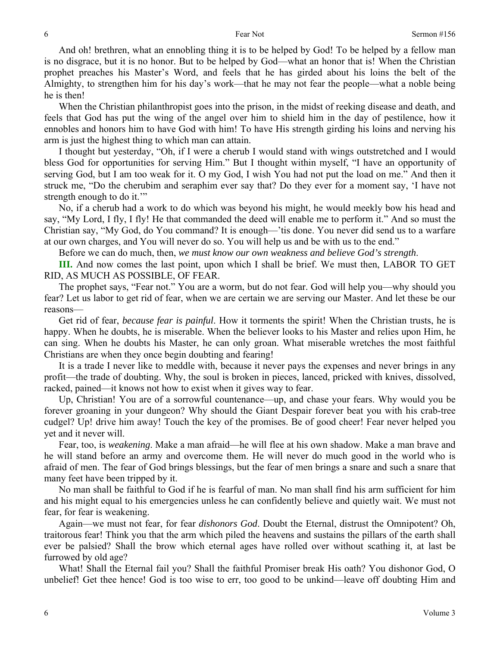And oh! brethren, what an ennobling thing it is to be helped by God! To be helped by a fellow man is no disgrace, but it is no honor. But to be helped by God—what an honor that is! When the Christian prophet preaches his Master's Word, and feels that he has girded about his loins the belt of the Almighty, to strengthen him for his day's work—that he may not fear the people—what a noble being he is then!

When the Christian philanthropist goes into the prison, in the midst of reeking disease and death, and feels that God has put the wing of the angel over him to shield him in the day of pestilence, how it ennobles and honors him to have God with him! To have His strength girding his loins and nerving his arm is just the highest thing to which man can attain.

I thought but yesterday, "Oh, if I were a cherub I would stand with wings outstretched and I would bless God for opportunities for serving Him." But I thought within myself, "I have an opportunity of serving God, but I am too weak for it. O my God, I wish You had not put the load on me." And then it struck me, "Do the cherubim and seraphim ever say that? Do they ever for a moment say, 'I have not strength enough to do it."

No, if a cherub had a work to do which was beyond his might, he would meekly bow his head and say, "My Lord, I fly, I fly! He that commanded the deed will enable me to perform it." And so must the Christian say, "My God, do You command? It is enough—'tis done. You never did send us to a warfare at our own charges, and You will never do so. You will help us and be with us to the end."

Before we can do much, then, *we must know our own weakness and believe God's strength*.

**III.** And now comes the last point, upon which I shall be brief. We must then, LABOR TO GET RID, AS MUCH AS POSSIBLE, OF FEAR.

The prophet says, "Fear not." You are a worm, but do not fear. God will help you—why should you fear? Let us labor to get rid of fear, when we are certain we are serving our Master. And let these be our reasons—

Get rid of fear, *because fear is painful*. How it torments the spirit! When the Christian trusts, he is happy. When he doubts, he is miserable. When the believer looks to his Master and relies upon Him, he can sing. When he doubts his Master, he can only groan. What miserable wretches the most faithful Christians are when they once begin doubting and fearing!

It is a trade I never like to meddle with, because it never pays the expenses and never brings in any profit—the trade of doubting. Why, the soul is broken in pieces, lanced, pricked with knives, dissolved, racked, pained—it knows not how to exist when it gives way to fear.

Up, Christian! You are of a sorrowful countenance—up, and chase your fears. Why would you be forever groaning in your dungeon? Why should the Giant Despair forever beat you with his crab-tree cudgel? Up! drive him away! Touch the key of the promises. Be of good cheer! Fear never helped you yet and it never will.

Fear, too, is *weakening*. Make a man afraid—he will flee at his own shadow. Make a man brave and he will stand before an army and overcome them. He will never do much good in the world who is afraid of men. The fear of God brings blessings, but the fear of men brings a snare and such a snare that many feet have been tripped by it.

No man shall be faithful to God if he is fearful of man. No man shall find his arm sufficient for him and his might equal to his emergencies unless he can confidently believe and quietly wait. We must not fear, for fear is weakening.

Again—we must not fear, for fear *dishonors God*. Doubt the Eternal, distrust the Omnipotent? Oh, traitorous fear! Think you that the arm which piled the heavens and sustains the pillars of the earth shall ever be palsied? Shall the brow which eternal ages have rolled over without scathing it, at last be furrowed by old age?

What! Shall the Eternal fail you? Shall the faithful Promiser break His oath? You dishonor God, O unbelief! Get thee hence! God is too wise to err, too good to be unkind—leave off doubting Him and

6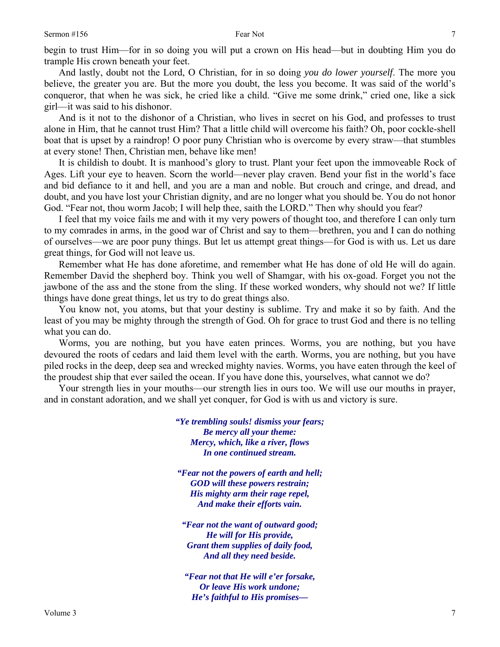begin to trust Him—for in so doing you will put a crown on His head—but in doubting Him you do trample His crown beneath your feet.

And lastly, doubt not the Lord, O Christian, for in so doing *you do lower yourself*. The more you believe, the greater you are. But the more you doubt, the less you become. It was said of the world's conqueror, that when he was sick, he cried like a child. "Give me some drink," cried one, like a sick girl—it was said to his dishonor.

And is it not to the dishonor of a Christian, who lives in secret on his God, and professes to trust alone in Him, that he cannot trust Him? That a little child will overcome his faith? Oh, poor cockle-shell boat that is upset by a raindrop! O poor puny Christian who is overcome by every straw—that stumbles at every stone! Then, Christian men, behave like men!

It is childish to doubt. It is manhood's glory to trust. Plant your feet upon the immoveable Rock of Ages. Lift your eye to heaven. Scorn the world—never play craven. Bend your fist in the world's face and bid defiance to it and hell, and you are a man and noble. But crouch and cringe, and dread, and doubt, and you have lost your Christian dignity, and are no longer what you should be. You do not honor God. "Fear not, thou worm Jacob; I will help thee, saith the LORD." Then why should you fear?

I feel that my voice fails me and with it my very powers of thought too, and therefore I can only turn to my comrades in arms, in the good war of Christ and say to them—brethren, you and I can do nothing of ourselves—we are poor puny things. But let us attempt great things—for God is with us. Let us dare great things, for God will not leave us.

Remember what He has done aforetime, and remember what He has done of old He will do again. Remember David the shepherd boy. Think you well of Shamgar, with his ox-goad. Forget you not the jawbone of the ass and the stone from the sling. If these worked wonders, why should not we? If little things have done great things, let us try to do great things also.

You know not, you atoms, but that your destiny is sublime. Try and make it so by faith. And the least of you may be mighty through the strength of God. Oh for grace to trust God and there is no telling what you can do.

Worms, you are nothing, but you have eaten princes. Worms, you are nothing, but you have devoured the roots of cedars and laid them level with the earth. Worms, you are nothing, but you have piled rocks in the deep, deep sea and wrecked mighty navies. Worms, you have eaten through the keel of the proudest ship that ever sailed the ocean. If you have done this, yourselves, what cannot we do?

Your strength lies in your mouths—our strength lies in ours too. We will use our mouths in prayer, and in constant adoration, and we shall yet conquer, for God is with us and victory is sure.

> *"Ye trembling souls! dismiss your fears; Be mercy all your theme: Mercy, which, like a river, flows In one continued stream.*

*"Fear not the powers of earth and hell; GOD will these powers restrain; His mighty arm their rage repel, And make their efforts vain.* 

*"Fear not the want of outward good; He will for His provide, Grant them supplies of daily food, And all they need beside.* 

*"Fear not that He will e'er forsake, Or leave His work undone; He's faithful to His promises—*